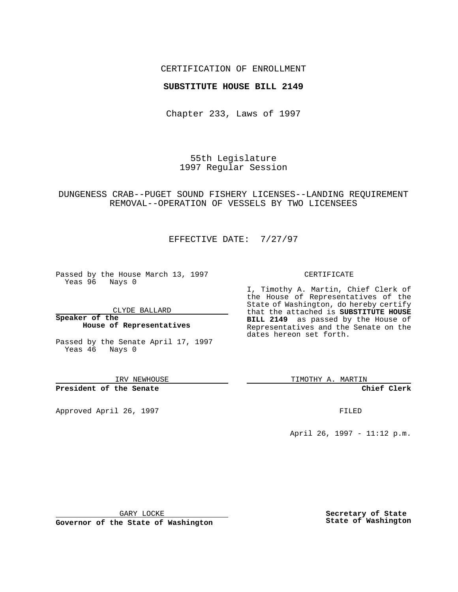## CERTIFICATION OF ENROLLMENT

## **SUBSTITUTE HOUSE BILL 2149**

Chapter 233, Laws of 1997

55th Legislature 1997 Regular Session

DUNGENESS CRAB--PUGET SOUND FISHERY LICENSES--LANDING REQUIREMENT REMOVAL--OPERATION OF VESSELS BY TWO LICENSEES

EFFECTIVE DATE: 7/27/97

Passed by the House March 13, 1997 Yeas 96 Nays 0

CLYDE BALLARD

**Speaker of the House of Representatives**

Passed by the Senate April 17, 1997 Yeas 46 Nays 0

IRV NEWHOUSE

**President of the Senate**

Approved April 26, 1997 **FILED** 

#### CERTIFICATE

I, Timothy A. Martin, Chief Clerk of the House of Representatives of the State of Washington, do hereby certify that the attached is **SUBSTITUTE HOUSE BILL 2149** as passed by the House of Representatives and the Senate on the dates hereon set forth.

TIMOTHY A. MARTIN

**Chief Clerk**

April 26, 1997 - 11:12 p.m.

GARY LOCKE

**Governor of the State of Washington**

**Secretary of State State of Washington**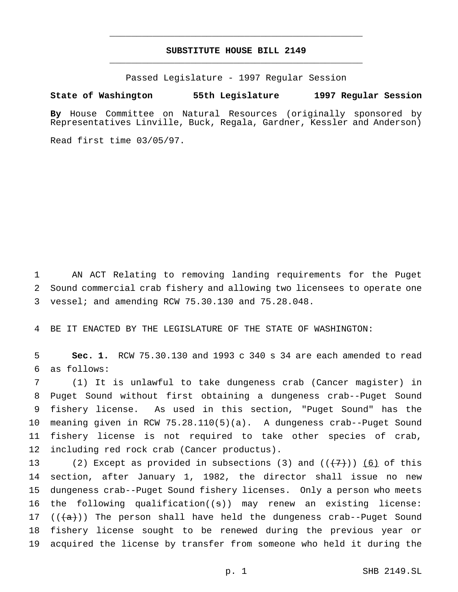# **SUBSTITUTE HOUSE BILL 2149** \_\_\_\_\_\_\_\_\_\_\_\_\_\_\_\_\_\_\_\_\_\_\_\_\_\_\_\_\_\_\_\_\_\_\_\_\_\_\_\_\_\_\_\_\_\_\_

\_\_\_\_\_\_\_\_\_\_\_\_\_\_\_\_\_\_\_\_\_\_\_\_\_\_\_\_\_\_\_\_\_\_\_\_\_\_\_\_\_\_\_\_\_\_\_

Passed Legislature - 1997 Regular Session

### **State of Washington 55th Legislature 1997 Regular Session**

**By** House Committee on Natural Resources (originally sponsored by Representatives Linville, Buck, Regala, Gardner, Kessler and Anderson)

Read first time 03/05/97.

 AN ACT Relating to removing landing requirements for the Puget Sound commercial crab fishery and allowing two licensees to operate one vessel; and amending RCW 75.30.130 and 75.28.048.

BE IT ENACTED BY THE LEGISLATURE OF THE STATE OF WASHINGTON:

 **Sec. 1.** RCW 75.30.130 and 1993 c 340 s 34 are each amended to read as follows:

 (1) It is unlawful to take dungeness crab (Cancer magister) in Puget Sound without first obtaining a dungeness crab--Puget Sound fishery license. As used in this section, "Puget Sound" has the meaning given in RCW 75.28.110(5)(a). A dungeness crab--Puget Sound fishery license is not required to take other species of crab, including red rock crab (Cancer productus).

13 (2) Except as provided in subsections (3) and  $((+7))$  (6) of this section, after January 1, 1982, the director shall issue no new dungeness crab--Puget Sound fishery licenses. Only a person who meets the following qualification((s)) may renew an existing license: 17 ( $(\overline{a})$ ) The person shall have held the dungeness crab--Puget Sound fishery license sought to be renewed during the previous year or acquired the license by transfer from someone who held it during the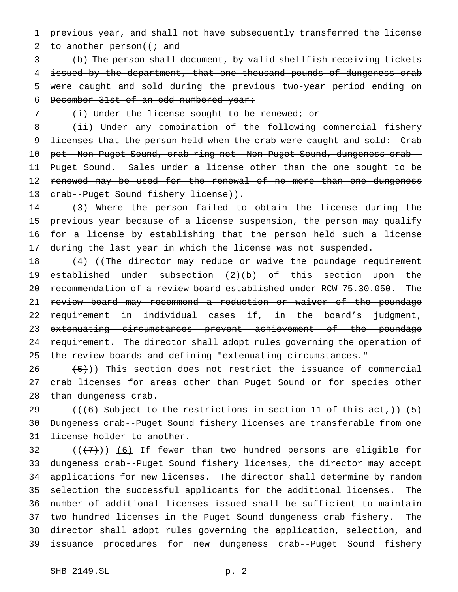previous year, and shall not have subsequently transferred the license 2 to another person( $\mathfrak{f}$  and

 (b) The person shall document, by valid shellfish receiving tickets issued by the department, that one thousand pounds of dungeness crab were caught and sold during the previous two-year period ending on December 31st of an odd-numbered year:

(i) Under the license sought to be renewed; or

8 (ii) Under any combination of the following commercial fishery 9 licenses that the person held when the crab were caught and sold: Crab pot--Non-Puget Sound, crab ring net--Non-Puget Sound, dungeness crab-- Puget Sound. Sales under a license other than the one sought to be 12 renewed may be used for the renewal of no more than one dungeness 13 crab--Puget Sound fishery license)).

 (3) Where the person failed to obtain the license during the previous year because of a license suspension, the person may qualify for a license by establishing that the person held such a license during the last year in which the license was not suspended.

18 (4) ((The director may reduce or waive the poundage requirement established under subsection (2)(b) of this section upon the recommendation of a review board established under RCW 75.30.050. The 21 review board may recommend a reduction or waiver of the poundage requirement in individual cases if, in the board's judgment, 23 extenuating circumstances prevent achievement of the poundage 24 requirement. The director shall adopt rules governing the operation of 25 the review boards and defining "extenuating circumstances."

 $(26 \leftarrow \{5\})$ ) This section does not restrict the issuance of commercial crab licenses for areas other than Puget Sound or for species other than dungeness crab.

29 ( $((6)$  Subject to the restrictions in section 11 of this act,)) (5) Dungeness crab--Puget Sound fishery licenses are transferable from one license holder to another.

 $((+7))$  (6) If fewer than two hundred persons are eligible for dungeness crab--Puget Sound fishery licenses, the director may accept applications for new licenses. The director shall determine by random selection the successful applicants for the additional licenses. The number of additional licenses issued shall be sufficient to maintain two hundred licenses in the Puget Sound dungeness crab fishery. The director shall adopt rules governing the application, selection, and issuance procedures for new dungeness crab--Puget Sound fishery